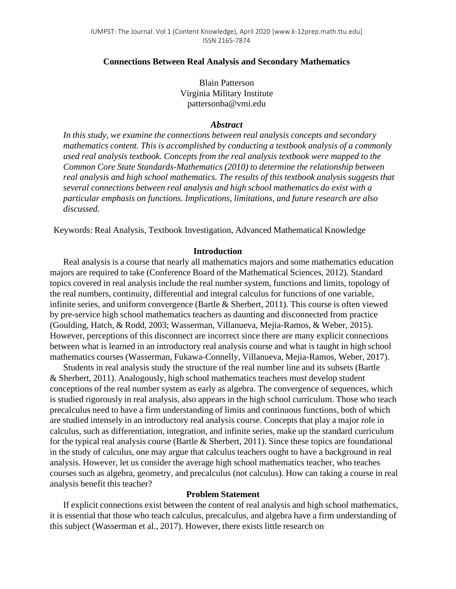## **Connections Between Real Analysis and Secondary Mathematics**

Blain Patterson Virginia Military Institute pattersonba@vmi.edu

## *Abstract*

*In this study, we examine the connections between real analysis concepts and secondary mathematics content. This is accomplished by conducting a textbook analysis of a commonly used real analysis textbook. Concepts from the real analysis textbook were mapped to the Common Core State Standards-Mathematics (2010) to determine the relationship between real analysis and high school mathematics. The results of this textbook analysis suggests that several connections between real analysis and high school mathematics do exist with a particular emphasis on functions. Implications, limitations, and future research are also discussed.*

Keywords: Real Analysis, Textbook Investigation, Advanced Mathematical Knowledge

#### **Introduction**

Real analysis is a course that nearly all mathematics majors and some mathematics education majors are required to take (Conference Board of the Mathematical Sciences, 2012). Standard topics covered in real analysis include the real number system, functions and limits, topology of the real numbers, continuity, differential and integral calculus for functions of one variable, infinite series, and uniform convergence (Bartle & Sherbert, 2011). This course is often viewed by pre-service high school mathematics teachers as daunting and disconnected from practice (Goulding, Hatch, & Rodd, 2003; Wasserman, Villanueva, Mejia-Ramos, & Weber, 2015). However, perceptions of this disconnect are incorrect since there are many explicit connections between what is learned in an introductory real analysis course and what is taught in high school mathematics courses (Wasserman, Fukawa-Connelly, Villanueva, Mejia-Ramos, Weber, 2017).

Students in real analysis study the structure of the real number line and its subsets (Bartle & Sherbert, 2011). Analogously, high school mathematics teachers must develop student conceptions of the real number system as early as algebra. The convergence of sequences, which is studied rigorously in real analysis, also appears in the high school curriculum. Those who teach precalculus need to have a firm understanding of limits and continuous functions, both of which are studied intensely in an introductory real analysis course. Concepts that play a major role in calculus, such as differentiation, integration, and infinite series, make up the standard curriculum for the typical real analysis course (Bartle & Sherbert, 2011). Since these topics are foundational in the study of calculus, one may argue that calculus teachers ought to have a background in real analysis. However, let us consider the average high school mathematics teacher, who teaches courses such as algebra, geometry, and precalculus (not calculus). How can taking a course in real analysis benefit this teacher?

## **Problem Statement**

If explicit connections exist between the content of real analysis and high school mathematics, it is essential that those who teach calculus, precalculus, and algebra have a firm understanding of this subject (Wasserman et al., 2017). However, there exists little research on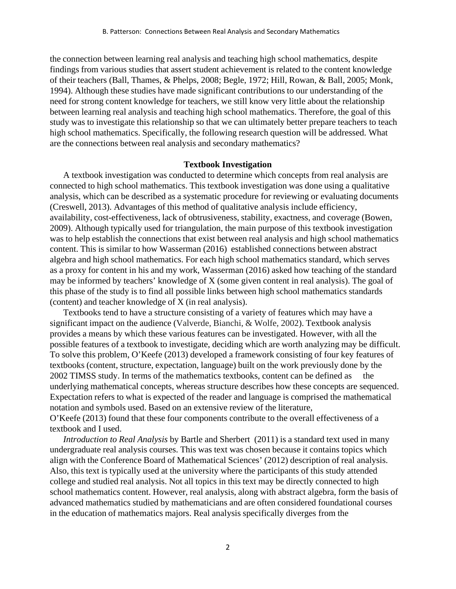the connection between learning real analysis and teaching high school mathematics, despite findings from various studies that assert student achievement is related to the content knowledge of their teachers (Ball, Thames, & Phelps, 2008; Begle, 1972; Hill, Rowan, & Ball, 2005; Monk, 1994). Although these studies have made significant contributions to our understanding of the need for strong content knowledge for teachers, we still know very little about the relationship between learning real analysis and teaching high school mathematics. Therefore, the goal of this study was to investigate this relationship so that we can ultimately better prepare teachers to teach high school mathematics. Specifically, the following research question will be addressed. What are the connections between real analysis and secondary mathematics?

#### **Textbook Investigation**

A textbook investigation was conducted to determine which concepts from real analysis are connected to high school mathematics. This textbook investigation was done using a qualitative analysis, which can be described as a systematic procedure for reviewing or evaluating documents (Creswell, 2013). Advantages of this method of qualitative analysis include efficiency, availability, cost-effectiveness, lack of obtrusiveness, stability, exactness, and coverage (Bowen, 2009). Although typically used for triangulation, the main purpose of this textbook investigation was to help establish the connections that exist between real analysis and high school mathematics content. This is similar to how Wasserman (2016) established connections between abstract algebra and high school mathematics. For each high school mathematics standard, which serves as a proxy for content in his and my work, Wasserman (2016) asked how teaching of the standard may be informed by teachers' knowledge of X (some given content in real analysis). The goal of this phase of the study is to find all possible links between high school mathematics standards (content) and teacher knowledge of X (in real analysis).

Textbooks tend to have a structure consisting of a variety of features which may have a significant impact on the audience (Valverde, Bianchi, & Wolfe, 2002). Textbook analysis provides a means by which these various features can be investigated. However, with all the possible features of a textbook to investigate, deciding which are worth analyzing may be difficult. To solve this problem, O'Keefe (2013) developed a framework consisting of four key features of textbooks (content, structure, expectation, language) built on the work previously done by the 2002 TIMSS study. In terms of the mathematics textbooks, content can be defined as the underlying mathematical concepts, whereas structure describes how these concepts are sequenced. Expectation refers to what is expected of the reader and language is comprised the mathematical notation and symbols used. Based on an extensive review of the literature,

O'Keefe (2013) found that these four components contribute to the overall effectiveness of a textbook and I used.

*Introduction to Real Analysis* by Bartle and Sherbert (2011) is a standard text used in many undergraduate real analysis courses. This was text was chosen because it contains topics which align with the Conference Board of Mathematical Sciences' (2012) description of real analysis. Also, this text is typically used at the university where the participants of this study attended college and studied real analysis. Not all topics in this text may be directly connected to high school mathematics content. However, real analysis, along with abstract algebra, form the basis of advanced mathematics studied by mathematicians and are often considered foundational courses in the education of mathematics majors. Real analysis specifically diverges from the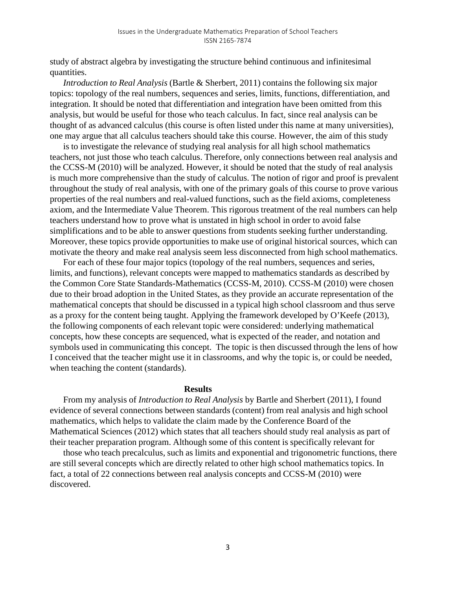study of abstract algebra by investigating the structure behind continuous and infinitesimal quantities.

*Introduction to Real Analysis* (Bartle & Sherbert, 2011) contains the following six major topics: topology of the real numbers, sequences and series, limits, functions, differentiation, and integration. It should be noted that differentiation and integration have been omitted from this analysis, but would be useful for those who teach calculus. In fact, since real analysis can be thought of as advanced calculus (this course is often listed under this name at many universities), one may argue that all calculus teachers should take this course. However, the aim of this study

is to investigate the relevance of studying real analysis for all high school mathematics teachers, not just those who teach calculus. Therefore, only connections between real analysis and the CCSS-M (2010) will be analyzed. However, it should be noted that the study of real analysis is much more comprehensive than the study of calculus. The notion of rigor and proof is prevalent throughout the study of real analysis, with one of the primary goals of this course to prove various properties of the real numbers and real-valued functions, such as the field axioms, completeness axiom, and the Intermediate Value Theorem. This rigorous treatment of the real numbers can help teachers understand how to prove what is unstated in high school in order to avoid false simplifications and to be able to answer questions from students seeking further understanding. Moreover, these topics provide opportunities to make use of original historical sources, which can motivate the theory and make real analysis seem less disconnected from high school mathematics.

For each of these four major topics (topology of the real numbers, sequences and series, limits, and functions), relevant concepts were mapped to mathematics standards as described by the Common Core State Standards-Mathematics (CCSS-M, 2010). CCSS-M (2010) were chosen due to their broad adoption in the United States, as they provide an accurate representation of the mathematical concepts that should be discussed in a typical high school classroom and thus serve as a proxy for the content being taught. Applying the framework developed by O'Keefe (2013), the following components of each relevant topic were considered: underlying mathematical concepts, how these concepts are sequenced, what is expected of the reader, and notation and symbols used in communicating this concept. The topic is then discussed through the lens of how I conceived that the teacher might use it in classrooms, and why the topic is, or could be needed, when teaching the content (standards).

#### **Results**

From my analysis of *Introduction to Real Analysis* by Bartle and Sherbert (2011), I found evidence of several connections between standards (content) from real analysis and high school mathematics, which helps to validate the claim made by the Conference Board of the Mathematical Sciences (2012) which states that all teachers should study real analysis as part of their teacher preparation program. Although some of this content is specifically relevant for

those who teach precalculus, such as limits and exponential and trigonometric functions, there are still several concepts which are directly related to other high school mathematics topics. In fact, a total of 22 connections between real analysis concepts and CCSS-M (2010) were discovered.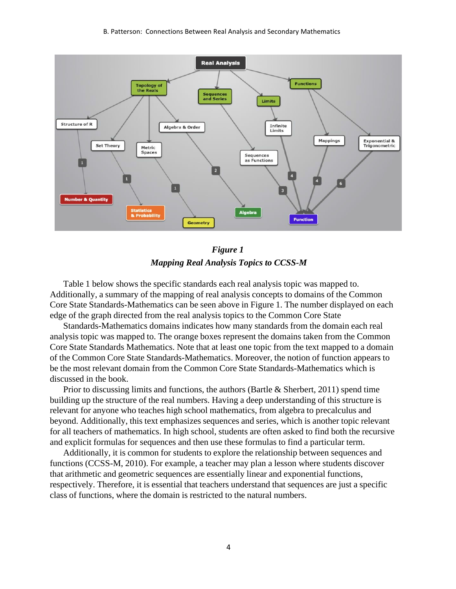#### B. Patterson: Connections Between Real Analysis and Secondary Mathematics



# *Figure 1 Mapping Real Analysis Topics to CCSS-M*

Table 1 below shows the specific standards each real analysis topic was mapped to. Additionally, a summary of the mapping of real analysis concepts to domains of the Common Core State Standards-Mathematics can be seen above in Figure 1. The number displayed on each edge of the graph directed from the real analysis topics to the Common Core State

Standards-Mathematics domains indicates how many standards from the domain each real analysis topic was mapped to. The orange boxes represent the domains taken from the Common Core State Standards Mathematics. Note that at least one topic from the text mapped to a domain of the Common Core State Standards-Mathematics. Moreover, the notion of function appears to be the most relevant domain from the Common Core State Standards-Mathematics which is discussed in the book.

Prior to discussing limits and functions, the authors (Bartle & Sherbert, 2011) spend time building up the structure of the real numbers. Having a deep understanding of this structure is relevant for anyone who teaches high school mathematics, from algebra to precalculus and beyond. Additionally, this text emphasizes sequences and series, which is another topic relevant for all teachers of mathematics. In high school, students are often asked to find both the recursive and explicit formulas for sequences and then use these formulas to find a particular term.

Additionally, it is common for students to explore the relationship between sequences and functions (CCSS-M, 2010). For example, a teacher may plan a lesson where students discover that arithmetic and geometric sequences are essentially linear and exponential functions, respectively. Therefore, it is essential that teachers understand that sequences are just a specific class of functions, where the domain is restricted to the natural numbers.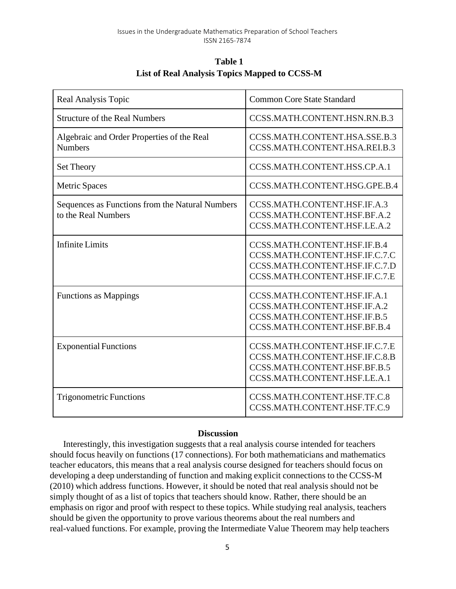| Table 1                                              |  |
|------------------------------------------------------|--|
| <b>List of Real Analysis Topics Mapped to CCSS-M</b> |  |

| Real Analysis Topic                                                    | <b>Common Core State Standard</b>                                                                                                  |
|------------------------------------------------------------------------|------------------------------------------------------------------------------------------------------------------------------------|
| <b>Structure of the Real Numbers</b>                                   | CCSS.MATH.CONTENT.HSN.RN.B.3                                                                                                       |
| Algebraic and Order Properties of the Real<br><b>Numbers</b>           | CCSS.MATH.CONTENT.HSA.SSE.B.3<br>CCSS.MATH.CONTENT.HSA.REI.B.3                                                                     |
| Set Theory                                                             | CCSS.MATH.CONTENT.HSS.CP.A.1                                                                                                       |
| <b>Metric Spaces</b>                                                   | CCSS.MATH.CONTENT.HSG.GPE.B.4                                                                                                      |
| Sequences as Functions from the Natural Numbers<br>to the Real Numbers | CCSS.MATH.CONTENT.HSF.IF.A.3<br>CCSS.MATH.CONTENT.HSF.BF.A.2<br>CCSS.MATH.CONTENT.HSF.LE.A.2                                       |
| <b>Infinite Limits</b>                                                 | CCSS.MATH.CONTENT.HSF.IF.B.4<br>CCSS.MATH.CONTENT.HSF.IF.C.7.C<br>CCSS.MATH.CONTENT.HSF.IF.C.7.D<br>CCSS.MATH.CONTENT.HSF.IF.C.7.E |
| <b>Functions as Mappings</b>                                           | CCSS.MATH.CONTENT.HSF.IF.A.1<br>CCSS.MATH.CONTENT.HSF.IF.A.2<br>CCSS.MATH.CONTENT.HSF.IF.B.5<br>CCSS.MATH.CONTENT.HSF.BF.B.4       |
| <b>Exponential Functions</b>                                           | CCSS.MATH.CONTENT.HSF.IF.C.7.E<br>CCSS.MATH.CONTENT.HSF.IF.C.8.B<br>CCSS.MATH.CONTENT.HSF.BF.B.5<br>CCSS.MATH.CONTENT.HSF.LE.A.1   |
| <b>Trigonometric Functions</b>                                         | CCSS.MATH.CONTENT.HSF.TF.C.8<br>CCSS.MATH.CONTENT.HSF.TF.C.9                                                                       |

## **Discussion**

Interestingly, this investigation suggests that a real analysis course intended for teachers should focus heavily on functions (17 connections). For both mathematicians and mathematics teacher educators, this means that a real analysis course designed for teachers should focus on developing a deep understanding of function and making explicit connections to the CCSS-M (2010) which address functions. However, it should be noted that real analysis should not be simply thought of as a list of topics that teachers should know. Rather, there should be an emphasis on rigor and proof with respect to these topics. While studying real analysis, teachers should be given the opportunity to prove various theorems about the real numbers and real-valued functions. For example, proving the Intermediate Value Theorem may help teachers